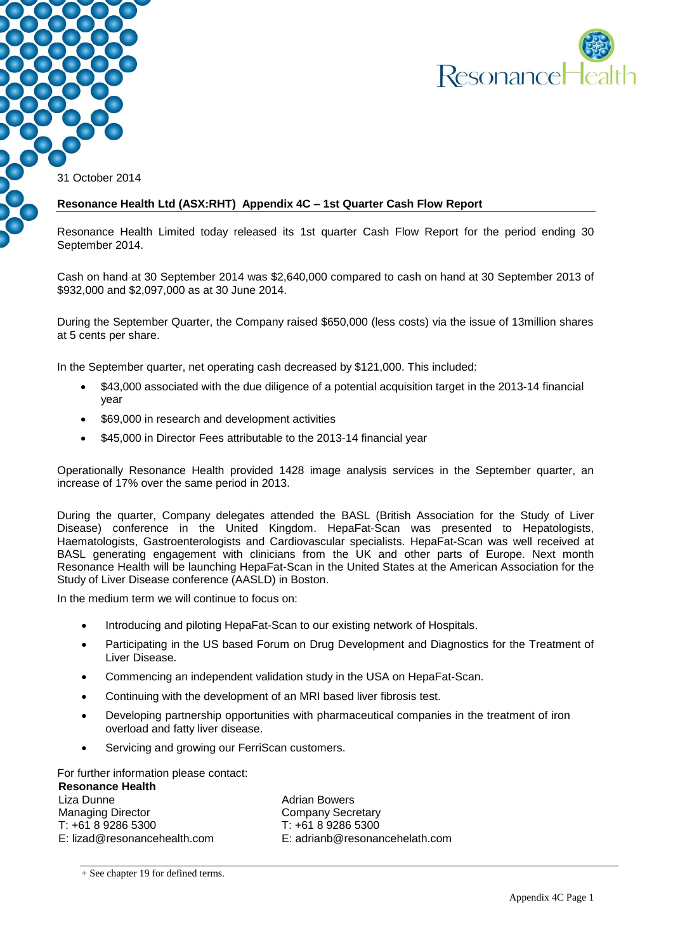

31 October 2014

#### **Resonance Health Ltd (ASX:RHT) Appendix 4C – 1st Quarter Cash Flow Report**

Resonance Health Limited today released its 1st quarter Cash Flow Report for the period ending 30 September 2014.

Cash on hand at 30 September 2014 was \$2,640,000 compared to cash on hand at 30 September 2013 of \$932,000 and \$2,097,000 as at 30 June 2014.

During the September Quarter, the Company raised \$650,000 (less costs) via the issue of 13million shares at 5 cents per share.

In the September quarter, net operating cash decreased by \$121,000. This included:

- \$43,000 associated with the due diligence of a potential acquisition target in the 2013-14 financial year
- \$69,000 in research and development activities
- \$45,000 in Director Fees attributable to the 2013-14 financial year

Operationally Resonance Health provided 1428 image analysis services in the September quarter, an increase of 17% over the same period in 2013.

During the quarter, Company delegates attended the BASL (British Association for the Study of Liver Disease) conference in the United Kingdom. HepaFat-Scan was presented to Hepatologists, Haematologists, Gastroenterologists and Cardiovascular specialists. HepaFat-Scan was well received at BASL generating engagement with clinicians from the UK and other parts of Europe. Next month Resonance Health will be launching HepaFat-Scan in the United States at the American Association for the Study of Liver Disease conference (AASLD) in Boston.

In the medium term we will continue to focus on:

- Introducing and piloting HepaFat-Scan to our existing network of Hospitals.
- Participating in the US based Forum on Drug Development and Diagnostics for the Treatment of Liver Disease.
- Commencing an independent validation study in the USA on HepaFat-Scan.
- Continuing with the development of an MRI based liver fibrosis test.
- Developing partnership opportunities with pharmaceutical companies in the treatment of iron overload and fatty liver disease.
- Servicing and growing our FerriScan customers.

For further information please contact:

**Resonance Health** Liza Dunne Managing Director T: +61 8 9286 5300 E: lizad@resonancehealth.com

Adrian Bowers Company Secretary T: +61 8 9286 5300 E: adrianb@resonancehelath.com

<sup>+</sup> See chapter 19 for defined terms.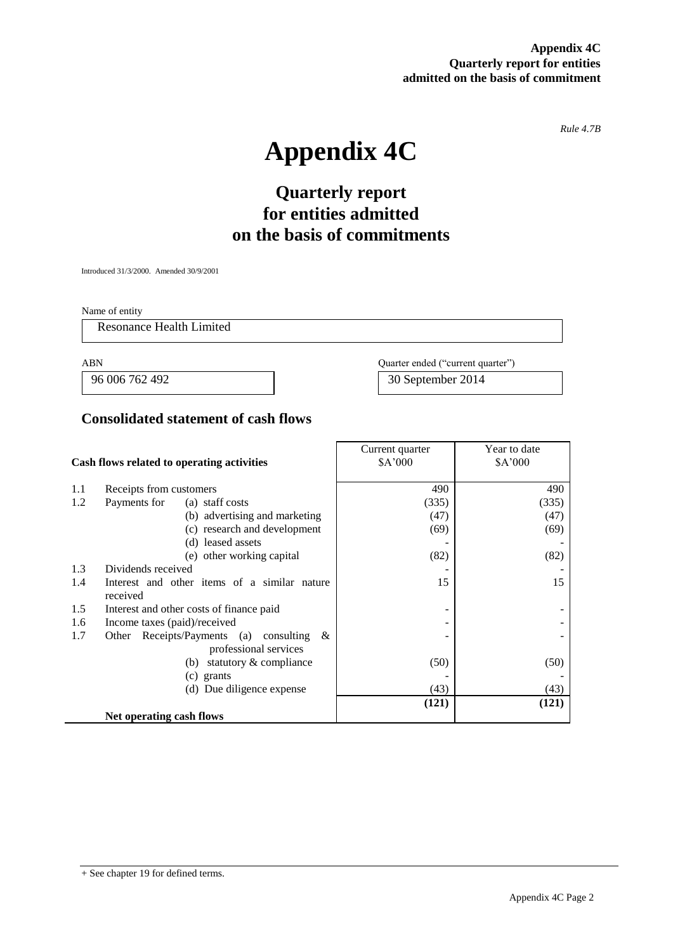**Appendix 4C Quarterly report for entities admitted on the basis of commitment**

*Rule 4.7B*

# **Appendix 4C**

# **Quarterly report for entities admitted on the basis of commitments**

Introduced 31/3/2000. Amended 30/9/2001

Name of entity

Resonance Health Limited

 $\mathbb{R}^2$ 

ABN Quarter ended ("current quarter")

96 006 762 492 30 September 2014

### **Consolidated statement of cash flows**

|                                            |                                                | Current quarter | Year to date |
|--------------------------------------------|------------------------------------------------|-----------------|--------------|
| Cash flows related to operating activities |                                                | \$A'000         | \$A'000      |
|                                            |                                                |                 |              |
| 1.1                                        | Receipts from customers                        | 490             | 490          |
| 1.2                                        | Payments for<br>(a) staff costs                | (335)           | (335)        |
|                                            | (b) advertising and marketing                  | (47)            | (47)         |
|                                            | (c) research and development                   | (69)            | (69)         |
|                                            | (d) leased assets                              |                 |              |
|                                            | (e) other working capital                      | (82)            | (82)         |
| 1.3                                        | Dividends received                             |                 |              |
| 1.4                                        | Interest and other items of a similar nature   | 15              | 15           |
|                                            | received                                       |                 |              |
| 1.5                                        | Interest and other costs of finance paid       |                 |              |
| 1.6                                        | Income taxes (paid)/received                   |                 |              |
| 1.7                                        | Receipts/Payments (a) consulting $\&$<br>Other |                 |              |
|                                            | professional services                          |                 |              |
|                                            | statutory & compliance<br>(b)                  | (50)            | (50)         |
|                                            | (c) grants                                     |                 |              |
| (d) Due diligence expense                  |                                                | (43)            | (43)         |
|                                            |                                                | (121)           | (121)        |
|                                            | Net operating cash flows                       |                 |              |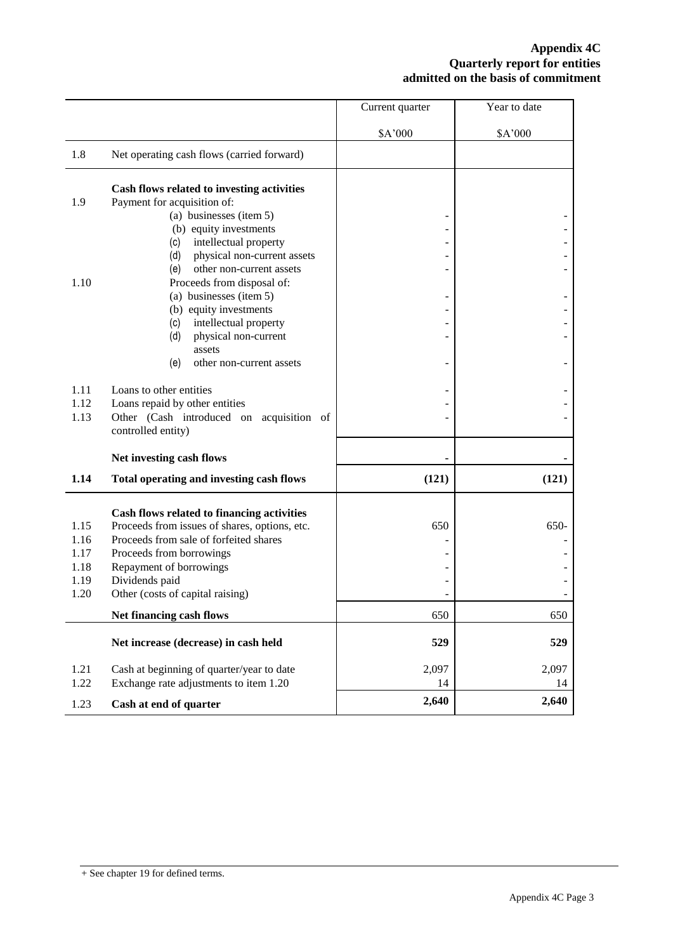#### **Appendix 4C Quarterly report for entities admitted on the basis of commitment**

|      |                                                 | Current quarter | Year to date |
|------|-------------------------------------------------|-----------------|--------------|
|      |                                                 | \$A'000         | \$A'000      |
| 1.8  | Net operating cash flows (carried forward)      |                 |              |
|      | Cash flows related to investing activities      |                 |              |
| 1.9  | Payment for acquisition of:                     |                 |              |
|      | (a) businesses (item 5)                         |                 |              |
|      | (b) equity investments<br>intellectual property |                 |              |
|      | (c)<br>physical non-current assets<br>(d)       |                 |              |
|      | other non-current assets<br>(e)                 |                 |              |
| 1.10 | Proceeds from disposal of:                      |                 |              |
|      | (a) businesses (item 5)                         |                 |              |
|      | (b) equity investments                          |                 |              |
|      | intellectual property<br>(c)                    |                 |              |
|      | (d)<br>physical non-current                     |                 |              |
|      | assets                                          |                 |              |
|      | (e)<br>other non-current assets                 |                 |              |
| 1.11 | Loans to other entities                         |                 |              |
| 1.12 | Loans repaid by other entities                  |                 |              |
| 1.13 | Other (Cash introduced on acquisition of        |                 |              |
|      | controlled entity)                              |                 |              |
|      | Net investing cash flows                        |                 |              |
|      |                                                 |                 |              |
| 1.14 | Total operating and investing cash flows        | (121)           | (121)        |
|      | Cash flows related to financing activities      |                 |              |
| 1.15 | Proceeds from issues of shares, options, etc.   | 650             | 650-         |
| 1.16 | Proceeds from sale of forfeited shares          |                 |              |
| 1.17 | Proceeds from borrowings                        |                 |              |
| 1.18 | Repayment of borrowings                         |                 |              |
| 1.19 | Dividends paid                                  |                 |              |
| 1.20 | Other (costs of capital raising)                |                 |              |
|      | Net financing cash flows                        | 650             | 650          |
|      | Net increase (decrease) in cash held            | 529             | 529          |
| 1.21 | Cash at beginning of quarter/year to date       | 2,097           | 2,097        |
| 1.22 | Exchange rate adjustments to item 1.20          | 14              | 14           |
| 1.23 | Cash at end of quarter                          | 2,640           | 2,640        |
|      |                                                 |                 |              |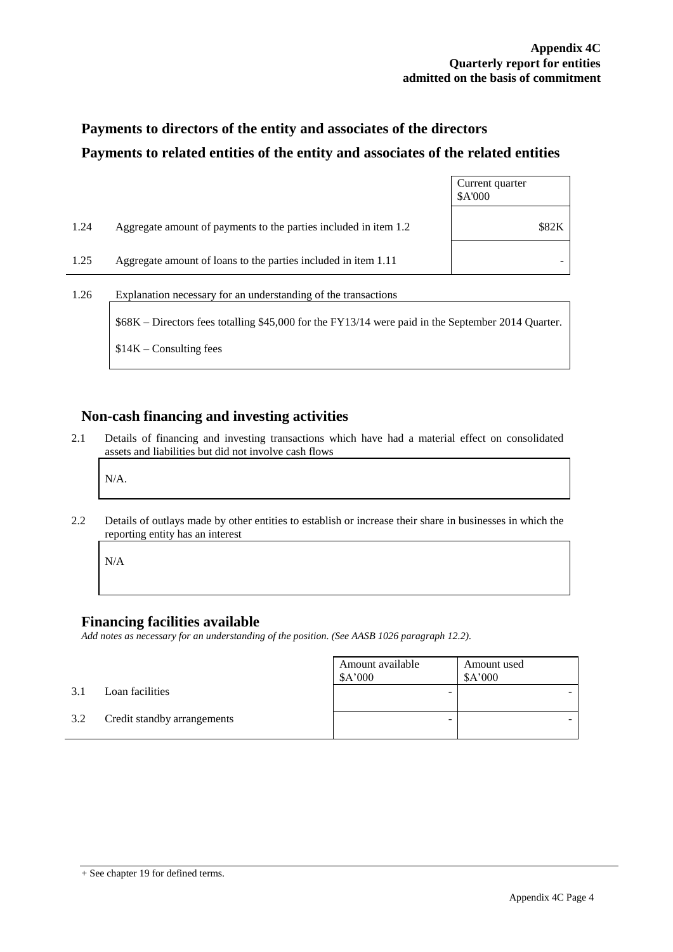## **Payments to directors of the entity and associates of the directors Payments to related entities of the entity and associates of the related entities**

|      |                                                                                                    | Current quarter<br>\$A'000 |
|------|----------------------------------------------------------------------------------------------------|----------------------------|
| 1.24 | Aggregate amount of payments to the parties included in item 1.2                                   | \$82K                      |
| 1.25 | Aggregate amount of loans to the parties included in item 1.11                                     |                            |
| 1.26 | Explanation necessary for an understanding of the transactions                                     |                            |
|      | \$68K – Directors fees totalling \$45,000 for the FY13/14 were paid in the September 2014 Quarter. |                            |

### **Non-cash financing and investing activities**

2.1 Details of financing and investing transactions which have had a material effect on consolidated assets and liabilities but did not involve cash flows

N/A.

2.2 Details of outlays made by other entities to establish or increase their share in businesses in which the reporting entity has an interest

N/A

#### **Financing facilities available**

\$14K – Consulting fees

*Add notes as necessary for an understanding of the position. (See AASB 1026 paragraph 12.2).*

|     |                             | Amount available<br>\$A'000 | Amount used<br>\$A'000 |
|-----|-----------------------------|-----------------------------|------------------------|
| 3.1 | Loan facilities             | -                           |                        |
| 3.2 | Credit standby arrangements | -                           |                        |